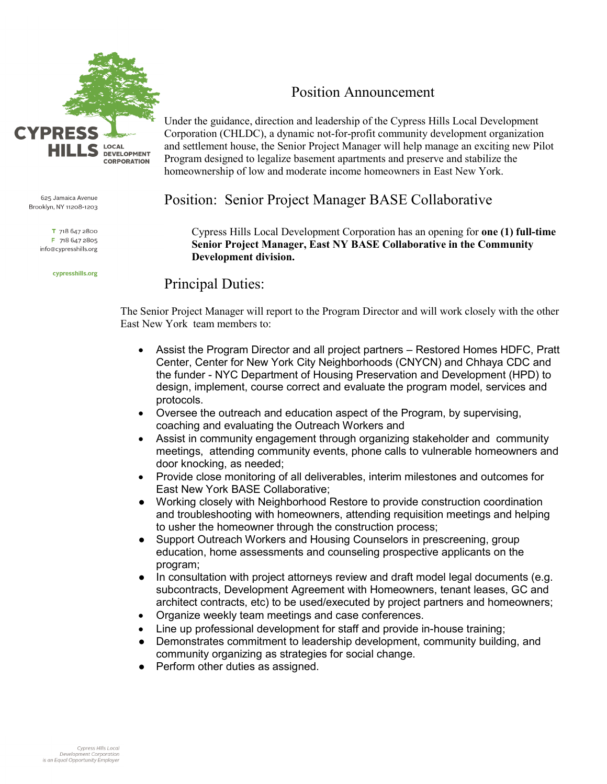

625 Jamaica Avenue Brooklyn, NY 11208-1203

> T 718 647 2800 F 718 647 2805 info@cypresshills.org

> > cypresshills.org

# Position Announcement

Under the guidance, direction and leadership of the Cypress Hills Local Development Corporation (CHLDC), a dynamic not-for-profit community development organization and settlement house, the Senior Project Manager will help manage an exciting new Pilot Program designed to legalize basement apartments and preserve and stabilize the homeownership of low and moderate income homeowners in East New York.

# Position: Senior Project Manager BASE Collaborative

Cypress Hills Local Development Corporation has an opening for **one (1) full-time Senior Project Manager, East NY BASE Collaborative in the Community Development division.**

# Principal Duties:

The Senior Project Manager will report to the Program Director and will work closely with the other East New York team members to:

- Assist the Program Director and all project partners Restored Homes HDFC, Pratt Center, Center for New York City Neighborhoods (CNYCN) and Chhaya CDC and the funder - NYC Department of Housing Preservation and Development (HPD) to design, implement, course correct and evaluate the program model, services and protocols.
- Oversee the outreach and education aspect of the Program, by supervising, coaching and evaluating the Outreach Workers and
- Assist in community engagement through organizing stakeholder and community meetings, attending community events, phone calls to vulnerable homeowners and door knocking, as needed;
- Provide close monitoring of all deliverables, interim milestones and outcomes for East New York BASE Collaborative;
- Working closely with Neighborhood Restore to provide construction coordination and troubleshooting with homeowners, attending requisition meetings and helping to usher the homeowner through the construction process;
- Support Outreach Workers and Housing Counselors in prescreening, group education, home assessments and counseling prospective applicants on the program;
- In consultation with project attorneys review and draft model legal documents (e.g. subcontracts, Development Agreement with Homeowners, tenant leases, GC and architect contracts, etc) to be used/executed by project partners and homeowners;
- Organize weekly team meetings and case conferences.
- Line up professional development for staff and provide in-house training;
- Demonstrates commitment to leadership development, community building, and community organizing as strategies for social change.
- Perform other duties as assigned.